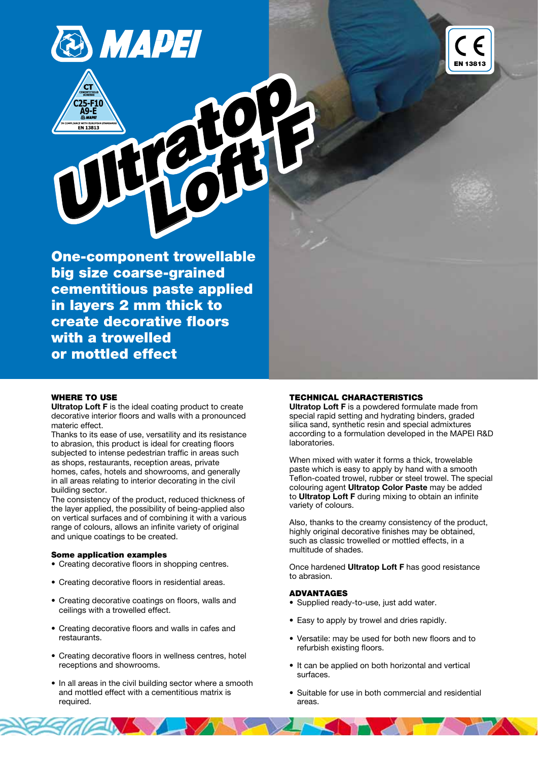



One-component trowellable big size coarse-grained cementitious paste applied in layers 2 mm thick to create decorative floors with a trowelled or mottled effect

## WHERE TO USE

Ultratop Loft F is the ideal coating product to create decorative interior floors and walls with a pronounced materic effect.

Thanks to its ease of use, versatility and its resistance to abrasion, this product is ideal for creating floors subjected to intense pedestrian traffic in areas such as shops, restaurants, reception areas, private homes, cafes, hotels and showrooms, and generally in all areas relating to interior decorating in the civil building sector.

The consistency of the product, reduced thickness of the layer applied, the possibility of being-applied also on vertical surfaces and of combining it with a various range of colours, allows an infinite variety of original and unique coatings to be created.

## Some application examples

- Creating decorative floors in shopping centres.
- Creating decorative floors in residential areas.
- Creating decorative coatings on floors, walls and ceilings with a trowelled effect.
- Creating decorative floors and walls in cafes and restaurants.
- Creating decorative floors in wellness centres, hotel receptions and showrooms.
- In all areas in the civil building sector where a smooth and mottled effect with a cementitious matrix is required.

## TECHNICAL CHARACTERISTICS

Ultratop Loft F is a powdered formulate made from special rapid setting and hydrating binders, graded silica sand, synthetic resin and special admixtures according to a formulation developed in the MAPEI R&D laboratories.

When mixed with water it forms a thick, trowelable paste which is easy to apply by hand with a smooth Teflon-coated trowel, rubber or steel trowel. The special colouring agent Ultratop Color Paste may be added to Ultratop Loft F during mixing to obtain an infinite variety of colours.

Also, thanks to the creamy consistency of the product, highly original decorative finishes may be obtained, such as classic trowelled or mottled effects, in a multitude of shades.

Once hardened Ultratop Loft F has good resistance to abrasion.

#### ADVANTAGES

- Supplied ready-to-use, just add water.
- • Easy to apply by trowel and dries rapidly.
- Versatile: may be used for both new floors and to refurbish existing floors.
- It can be applied on both horizontal and vertical surfaces.
- Suitable for use in both commercial and residential areas.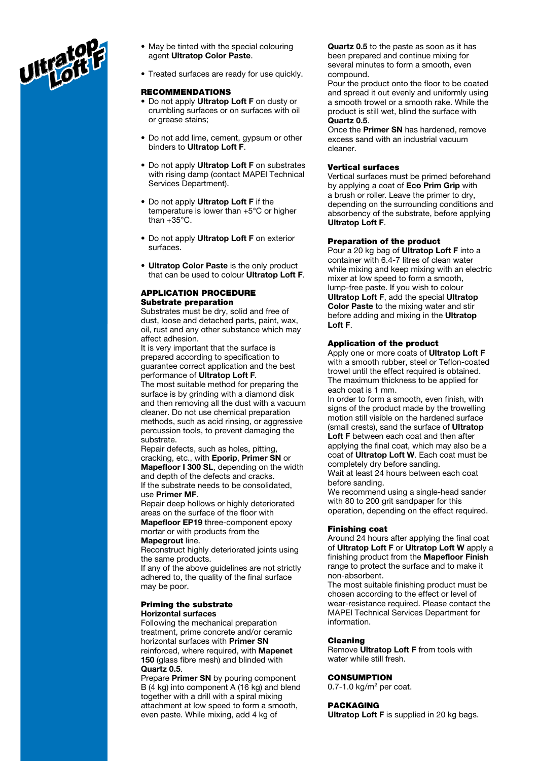

- May be tinted with the special colouring agent Ultratop Color Paste.
- Treated surfaces are ready for use quickly.

#### RECOMMENDATIONS

- Do not apply Ultratop Loft F on dusty or crumbling surfaces or on surfaces with oil or grease stains;
- Do not add lime, cement, gypsum or other binders to Ultratop Loft F.
- Do not apply Ultratop Loft F on substrates with rising damp (contact MAPEI Technical Services Department).
- Do not apply Ultratop Loft F if the temperature is lower than +5°C or higher than +35°C.
- Do not apply Ultratop Loft F on exterior surfaces.
- Ultratop Color Paste is the only product that can be used to colour Ultratop Loft F.

## APPLICATION PROCEDURE Substrate preparation

Substrates must be dry, solid and free of dust, loose and detached parts, paint, wax, oil, rust and any other substance which may affect adhesion.

It is very important that the surface is prepared according to specification to guarantee correct application and the best performance of Ultratop Loft F.

The most suitable method for preparing the surface is by grinding with a diamond disk and then removing all the dust with a vacuum cleaner. Do not use chemical preparation methods, such as acid rinsing, or aggressive percussion tools, to prevent damaging the substrate.

Repair defects, such as holes, pitting, cracking, etc., with Eporip, Primer SN or Mapefloor I 300 SL, depending on the width and depth of the defects and cracks. If the substrate needs to be consolidated, use Primer MF.

Repair deep hollows or highly deteriorated areas on the surface of the floor with Mapefloor EP19 three-component epoxy mortar or with products from the

Mapegrout line.

Reconstruct highly deteriorated joints using the same products.

If any of the above guidelines are not strictly adhered to, the quality of the final surface may be poor.

#### Priming the substrate Horizontal surfaces

Following the mechanical preparation treatment, prime concrete and/or ceramic horizontal surfaces with Primer SN reinforced, where required, with Mapenet 150 (glass fibre mesh) and blinded with Quartz 0.5.

Prepare Primer SN by pouring component B (4 kg) into component A (16 kg) and blend together with a drill with a spiral mixing attachment at low speed to form a smooth, even paste. While mixing, add 4 kg of

Quartz 0.5 to the paste as soon as it has been prepared and continue mixing for several minutes to form a smooth, even compound.

Pour the product onto the floor to be coated and spread it out evenly and uniformly using a smooth trowel or a smooth rake. While the product is still wet, blind the surface with Quartz 0.5.

Once the Primer SN has hardened, remove excess sand with an industrial vacuum cleaner.

#### Vertical surfaces

Vertical surfaces must be primed beforehand by applying a coat of Eco Prim Grip with a brush or roller. Leave the primer to dry, depending on the surrounding conditions and absorbency of the substrate, before applying Ultratop Loft F.

#### Preparation of the product

Pour a 20 kg bag of Ultratop Loft F into a container with 6.4-7 litres of clean water while mixing and keep mixing with an electric mixer at low speed to form a smooth, lump-free paste. If you wish to colour Ultratop Loft F, add the special Ultratop Color Paste to the mixing water and stir before adding and mixing in the Ultratop Loft F.

### Application of the product

Apply one or more coats of Ultratop Loft F with a smooth rubber, steel or Teflon-coated trowel until the effect required is obtained. The maximum thickness to be applied for each coat is 1 mm.

In order to form a smooth, even finish, with signs of the product made by the trowelling motion still visible on the hardened surface (small crests), sand the surface of Ultratop Loft F between each coat and then after applying the final coat, which may also be a coat of Ultratop Loft W. Each coat must be completely dry before sanding. Wait at least 24 hours between each coat

before sanding. We recommend using a single-head sander

with 80 to 200 grit sandpaper for this operation, depending on the effect required.

#### Finishing coat

Around 24 hours after applying the final coat of Ultratop Loft F or Ultratop Loft W apply a finishing product from the Mapefloor Finish range to protect the surface and to make it non-absorbent.

The most suitable finishing product must be chosen according to the effect or level of wear-resistance required. Please contact the MAPEI Technical Services Department for information.

#### Cleaning

Remove Ultratop Loft F from tools with water while still fresh.

## **CONSUMPTION**

 $0.7-1.0$  kg/m<sup>2</sup> per coat.

#### PACKAGING

Ultratop Loft F is supplied in 20 kg bags.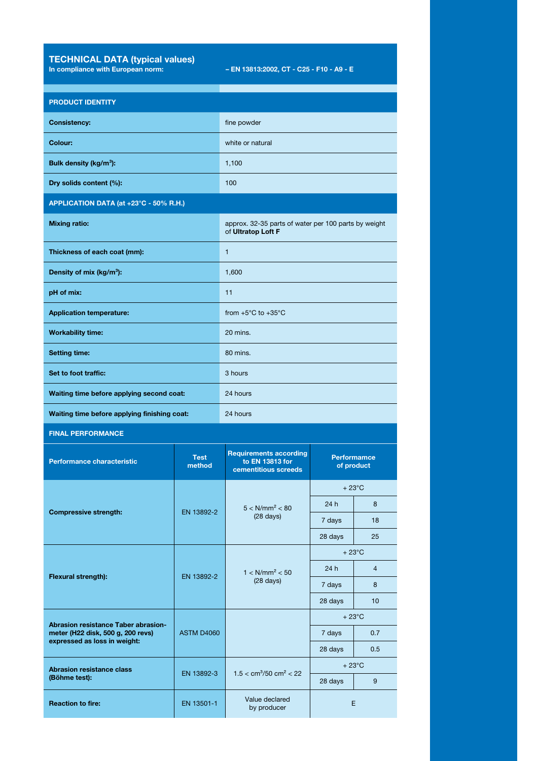TECHNICAL DATA (typical values)

In compliance with European norm: – EN 13813:2002, CT - C25 - F10 - A9 - E

| <b>PRODUCT IDENTITY</b>                                                                                                                                              |                                 |                                                                            |                                  |                |
|----------------------------------------------------------------------------------------------------------------------------------------------------------------------|---------------------------------|----------------------------------------------------------------------------|----------------------------------|----------------|
| <b>Consistency:</b>                                                                                                                                                  |                                 | fine powder                                                                |                                  |                |
| Colour:                                                                                                                                                              |                                 | white or natural                                                           |                                  |                |
| Bulk density (kg/m <sup>3</sup> ):                                                                                                                                   |                                 | 1,100                                                                      |                                  |                |
| Dry solids content (%):                                                                                                                                              |                                 | 100                                                                        |                                  |                |
| APPLICATION DATA (at +23°C - 50% R.H.)                                                                                                                               |                                 |                                                                            |                                  |                |
| <b>Mixing ratio:</b>                                                                                                                                                 |                                 | approx. 32-35 parts of water per 100 parts by weight<br>of Ultratop Loft F |                                  |                |
| Thickness of each coat (mm):                                                                                                                                         |                                 | 1                                                                          |                                  |                |
| Density of mix (kg/m <sup>3</sup> ):                                                                                                                                 |                                 | 1,600                                                                      |                                  |                |
| pH of mix:                                                                                                                                                           |                                 | 11                                                                         |                                  |                |
| <b>Application temperature:</b>                                                                                                                                      |                                 | from $+5^{\circ}$ C to $+35^{\circ}$ C                                     |                                  |                |
| <b>Workability time:</b>                                                                                                                                             |                                 | 20 mins.                                                                   |                                  |                |
| <b>Setting time:</b>                                                                                                                                                 |                                 | 80 mins.                                                                   |                                  |                |
| Set to foot traffic:                                                                                                                                                 |                                 | 3 hours                                                                    |                                  |                |
| Waiting time before applying second coat:                                                                                                                            |                                 | 24 hours                                                                   |                                  |                |
| Waiting time before applying finishing coat:                                                                                                                         |                                 | 24 hours                                                                   |                                  |                |
| <b>FINAL PERFORMANCE</b>                                                                                                                                             |                                 |                                                                            |                                  |                |
| <b>Performance characteristic</b>                                                                                                                                    | <b>Test</b><br>method           | <b>Requirements according</b><br>to EN 13813 for<br>cementitious screeds   | <b>Performamce</b><br>of product |                |
| <b>Compressive strength:</b>                                                                                                                                         | EN 13892-2                      | $5 < N/mm^2 < 80$<br>$(28 \text{ days})$                                   | $+23^{\circ}$ C                  |                |
|                                                                                                                                                                      |                                 |                                                                            | 24h                              | 8              |
|                                                                                                                                                                      |                                 |                                                                            | 7 days                           | 18             |
| Flexural strength):                                                                                                                                                  | EN 13892-2                      | $1 < N/mm^2 < 50$<br>$(28 \text{ days})$                                   | 28 days<br>$+23^{\circ}$ C       | 25             |
|                                                                                                                                                                      |                                 |                                                                            | 24h                              | $\overline{4}$ |
|                                                                                                                                                                      |                                 |                                                                            | 7 days                           | 8              |
|                                                                                                                                                                      |                                 |                                                                            | 28 days                          | 10             |
| <b>Abrasion resistance Taber abrasion-</b><br>meter (H22 disk, 500 g, 200 revs)<br>expressed as loss in weight:<br><b>Abrasion resistance class</b><br>(Böhme test): | <b>ASTM D4060</b><br>EN 13892-3 |                                                                            | $+23^{\circ}$ C                  |                |
|                                                                                                                                                                      |                                 |                                                                            | 7 days                           | 0.7            |
|                                                                                                                                                                      |                                 |                                                                            | 28 days                          | 0.5            |
|                                                                                                                                                                      |                                 | $1.5 < cm^3/50 cm^2 < 22$                                                  | $+23^{\circ}$ C<br>28 days       | 9              |
| <b>Reaction to fire:</b>                                                                                                                                             | EN 13501-1                      | Value declared                                                             |                                  |                |
|                                                                                                                                                                      |                                 |                                                                            |                                  | E.             |